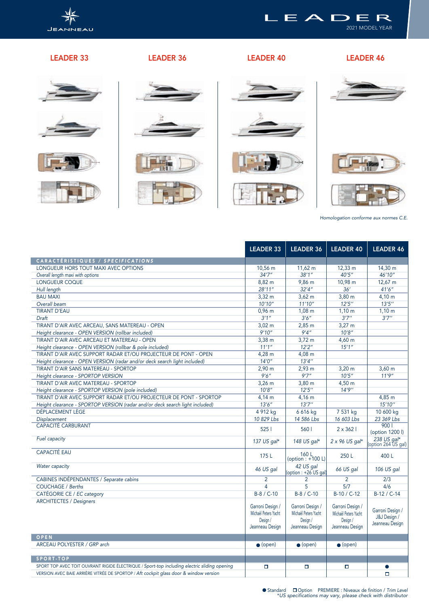

## LEADER 33 LEADER 36 LEADER 40 LEADER 46

2021 MODEL YEAR

LEADER





















*Homologation conforme aux normes C.E.*

|                                                                                              | <b>LEADER 33</b>                                                        | <b>LEADER 36</b>                                                        | <b>LEADER 40</b>                                                        | <b>LEADER 46</b>                                    |
|----------------------------------------------------------------------------------------------|-------------------------------------------------------------------------|-------------------------------------------------------------------------|-------------------------------------------------------------------------|-----------------------------------------------------|
| CARACTÉRISTIQUES / SPECIFICATIONS                                                            |                                                                         |                                                                         |                                                                         |                                                     |
| LONGUEUR HORS TOUT MAXI AVEC OPTIONS                                                         | 10,56 m                                                                 | $11,62 \text{ m}$                                                       | $12,33 \text{ m}$                                                       | 14,30 m                                             |
| Overall length maxi with options                                                             | 34'7''                                                                  | 38'1''                                                                  | 40'5''                                                                  | 46'10"                                              |
| LONGUEUR COQUE                                                                               | 8,82 m                                                                  | 9,86 m                                                                  | 10,98 m                                                                 | $12,67 \text{ m}$                                   |
| Hull length                                                                                  | 28'11''                                                                 | 32'4''                                                                  | 36'                                                                     | 41'6''                                              |
| <b>BAU MAXI</b>                                                                              | $3,32 \; m$                                                             | $3,62 \, m$                                                             | $3,80 \; m$                                                             | $4,10 \; m$                                         |
| Overall beam                                                                                 | 10'10''                                                                 | 11'10''                                                                 | 12'5''                                                                  | 13'5''                                              |
| <b>TIRANT D'EAU</b>                                                                          | $0,96$ m                                                                | $1,08 \; m$                                                             | $1,10 \; m$                                                             | $1,10 \; \text{m}$                                  |
| Draft                                                                                        | 3'1''                                                                   | 3'6''                                                                   | 3'7''                                                                   | 3'7''                                               |
| TIRANT D'AIR AVEC ARCEAU, SANS MATEREAU - OPEN                                               | $3,02 \; m$                                                             | $2,85 \; m$                                                             | $3,27 \text{ m}$                                                        |                                                     |
| Height clearance - OPEN VERSION (rollbar included)                                           | 9'10''                                                                  | 9'4''                                                                   | 10'8''                                                                  |                                                     |
| TIRANT D'AIR AVEC ARCEAU ET MATEREAU - OPEN                                                  | $3,38 \, \text{m}$                                                      | $3,72 \; m$                                                             | $4,60 \; m$                                                             |                                                     |
| Height clearance - OPEN VERSION (rollbar & pole included)                                    | 11'1''                                                                  | 12'2''                                                                  | 15'1''                                                                  |                                                     |
| TIRANT D'AIR AVEC SUPPORT RADAR ET/OU PROJECTEUR DE PONT - OPEN                              | $4,28 \; m$                                                             | $4,08$ m                                                                |                                                                         |                                                     |
| Height clearance - OPEN VERSION (radar and/or deck search light included)                    | 14'0''                                                                  | 13'4''                                                                  |                                                                         |                                                     |
| TIRANT D'AIR SANS MATEREAU - SPORTOP                                                         | $2,90 \; m$                                                             | $2,93 \, \text{m}$                                                      | $3,20 \; m$                                                             | $3,60 \; m$                                         |
| Height clearance - SPORTOP VERSION                                                           | 9'6''                                                                   | 9'7''                                                                   | 10'5''                                                                  | 11'9''                                              |
| TIRANT D'AIR AVEC MATEREAU - SPORTOP                                                         | $3,26$ m                                                                | $3,80 \; m$                                                             | 4,50 m                                                                  |                                                     |
| Height clearance - SPORTOP VERSION (pole included)                                           | 10'8''                                                                  | 12'5''                                                                  | 14'9''                                                                  |                                                     |
| TIRANT D'AIR AVEC SUPPORT RADAR ET/OU PROJECTEUR DE PONT - SPORTOP                           | 4.14 m                                                                  | 4.16 m                                                                  |                                                                         | 4.85 m                                              |
| Height clearance - SPORTOP VERSION (radar and/or deck search light included)                 | 13'6''                                                                  | 13'7''                                                                  |                                                                         | 15'10''                                             |
| DÉPLACEMENT LÈGE                                                                             | 4 912 kg                                                                | 6 616 kg                                                                | 7 531 kg                                                                | 10 600 kg                                           |
| <b>Displacement</b>                                                                          | 10 829 Lbs                                                              | 14 586 Lbs                                                              | 16 603 Lbs                                                              | 23 369 Lbs                                          |
| <b>CAPACITÉ CARBURANT</b>                                                                    | 5251                                                                    | 5601                                                                    | $2 \times 362$                                                          | 9001<br>(option 1200 l)                             |
| Fuel capacity                                                                                | 137 US gal*                                                             | 148 US gal*                                                             | $2 \times 96$ US gal*                                                   | 238 US gal*<br>(option 264 US gal)                  |
| <b>CAPACITÉ EAU</b>                                                                          | 175L                                                                    | 160 L<br>(option : +100 L)                                              | 250L                                                                    | 400 L                                               |
| Water capacity                                                                               | 46 US gal                                                               | 42 US gal<br>(option : +26 US gal)                                      | 66 US gal                                                               | 106 US gal                                          |
| CABINES INDÉPENDANTES / Separate cabins                                                      | $\overline{2}$                                                          | $\overline{2}$                                                          | $\overline{2}$                                                          | $\overline{2/3}$                                    |
| <b>COUCHAGE / Berths</b>                                                                     | 4                                                                       | 5                                                                       | 5/7                                                                     | 4/6                                                 |
| CATÉGORIE CE / EC category                                                                   | $B-8 / C-10$                                                            | $B-8 / C-10$                                                            | $B-10 / C-12$                                                           | $B-12 / C-14$                                       |
| <b>ARCHITECTES / Designers</b>                                                               | Garroni Design /<br>Michaël Peters Yacht<br>Design /<br>Jeanneau Design | Garroni Design /<br>Michaël Peters Yacht<br>Design /<br>Jeanneau Design | Garroni Design /<br>Michaël Peters Yacht<br>Design /<br>Jeanneau Design | Garroni Design /<br>J&J Design /<br>Jeanneau Design |
| OPEN                                                                                         |                                                                         |                                                                         |                                                                         |                                                     |
| ARCEAU POLYESTER / GRP arch                                                                  | $\bullet$ (open)                                                        | $\bullet$ (open)                                                        | $\bullet$ (open)                                                        |                                                     |
| SPORT-TOP                                                                                    |                                                                         |                                                                         |                                                                         |                                                     |
| SPORT TOP AVEC TOIT OUVRANT RIGIDE ÉLECTRIQUE / Sport-top including electric sliding opening | $\Box$                                                                  | $\Box$                                                                  | $\Box$                                                                  | $\bullet$                                           |
| VERSION AVEC BAIE ARRIÈRE VITRÉE DE SPORTOP / Aft cockpit glass door & window version        |                                                                         |                                                                         |                                                                         | $\Box$                                              |
|                                                                                              |                                                                         |                                                                         |                                                                         |                                                     |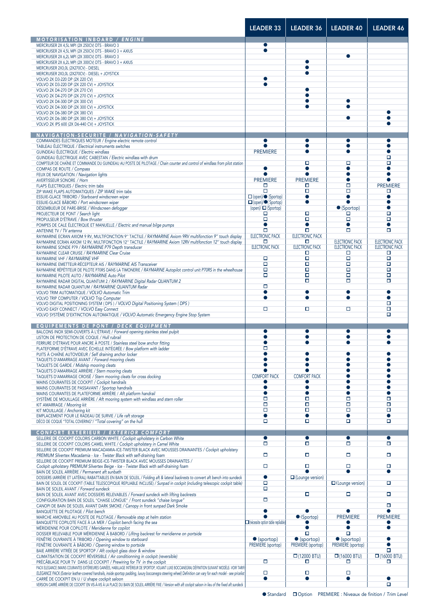|                                                                                                                                                                                     | <b>LEADER 33</b>                   | <b>LEADER 36</b>            | <b>LEADER 40</b>                                 | <b>LEADER 46</b>                                 |
|-------------------------------------------------------------------------------------------------------------------------------------------------------------------------------------|------------------------------------|-----------------------------|--------------------------------------------------|--------------------------------------------------|
| <b>MOTORISATION INBOARD / ENGINE</b>                                                                                                                                                |                                    |                             |                                                  |                                                  |
| MERCRUISER 2X 4,5L MPI (2X 250CV) DTS - BRAVO 3                                                                                                                                     | $\bullet$                          |                             |                                                  |                                                  |
| MERCRUISER 2X 4,5L MPI (2X 250CV) DTS - BRAVO 3 + AXIUS                                                                                                                             |                                    |                             |                                                  |                                                  |
| MERCRUISER 2X 6,2L MPI (2X 300CV) DTS - BRAVO 3<br>MERCRUISER 2X 6,2L MPI (2X 300CV) DTS - BRAVO 3 + AXIUS                                                                          |                                    | $\bullet$                   | $\bullet$                                        |                                                  |
| MERCRUISER 2X3,0L (2X270CV) - DIESEL                                                                                                                                                |                                    |                             |                                                  |                                                  |
| MERCRUISER 2X3,0L (2X270CV) - DIESEL + JOYSTICK                                                                                                                                     |                                    |                             |                                                  |                                                  |
| VOLVO 2X D3-220 DP (2X 220 CV)                                                                                                                                                      | $\bullet$<br>$\bullet$             |                             |                                                  |                                                  |
| VOLVO 2X D3-220 DP (2X 220 CV) + JOYSTICK<br>VOLVO 2X D4-270 DP (2X 270 CV)                                                                                                         |                                    | $\bullet$                   |                                                  |                                                  |
| VOLVO 2X D4-270 DP (2X 270 CV) + JOYSTICK                                                                                                                                           |                                    |                             |                                                  |                                                  |
| VOLVO 2X D4-300 DP (2X 300 CV)                                                                                                                                                      |                                    | $\bullet$                   | $\bullet$                                        |                                                  |
| VOLVO 2X D4-300 DP (2X 300 CV) + JOYSTICK                                                                                                                                           |                                    | ●                           | $\bullet$                                        | $\bullet$                                        |
| VOLVO 2X D6-380 DP (2X 380 CV)<br>VOLVO 2X D6-380 DP (2X 380 CV) + JOYSTICK                                                                                                         |                                    |                             | $\bullet$                                        |                                                  |
| VOLVO 2X IPS 600 (2X D6-440 CV) + JOYSTICK                                                                                                                                          |                                    |                             |                                                  |                                                  |
|                                                                                                                                                                                     |                                    |                             |                                                  |                                                  |
| NAVIGATION-SECURITE / NAVIGATION-SAFETY<br>COMMANDES ÉLECTRIQUES MOTEUR / Engine electric remote control                                                                            | $\bullet$                          | $\bullet$                   | $\bullet$                                        | $\bullet$                                        |
| TABLEAU ÉLECTRIQUE / Electrical instruments switches                                                                                                                                |                                    |                             | $\bullet$                                        | $\bullet$                                        |
| GUINDEAU ÉLECTRIQUE / Electric windlass                                                                                                                                             | <b>PREMIERE</b>                    | $\bullet$                   | $\bullet$                                        | ●                                                |
| GUINDEAU ÉLECTRIQUE AVEC CABESTAN / Electric windlass with drum                                                                                                                     |                                    |                             |                                                  | □<br>$\Box$                                      |
| COMPTEUR DE CHAÎNE ET COMMANDE DU GUINDEAU AU POSTE DE PILOTAGE / Chain counter and control of windlass from pilot station<br>COMPAS DE ROUTE / Compass                             | $\bullet$                          | о<br>$\bullet$              | о<br>●                                           |                                                  |
| FEUX DE NAVIGATION / Navigation lights                                                                                                                                              |                                    |                             | $\bullet$                                        | $\bullet$                                        |
| AVERTISSEUR SONORE / Horn                                                                                                                                                           | <b>PREMIERE</b>                    | <b>PREMIERE</b>             | $\bullet$                                        |                                                  |
| FLAPS ÉLECTRIQUES / Electric trim tabs                                                                                                                                              | □<br>$\Box$                        | □<br>$\Box$                 | $\Box$<br>$\Box$                                 | <b>PREMIERE</b>                                  |
| ZIP WAKE FLAPS AUTOMATIQUES / ZIP WAKE trim tabs<br>ESSUIE-GLACE TRIBORD / Starboard windscreen wiper                                                                               | $\Box$ (open)/ $\bullet$ (Sportop) | $\bullet$                   | $\bullet$                                        | □<br>$\bullet$                                   |
| ESSUIE-GLACE BÂBORD / Port windscreen wiper                                                                                                                                         | □ (open)/●(Sportop)                | $\bullet$                   |                                                  | $\bullet$                                        |
| DÉSEMBUEUR DE PARE-BRISE / Windscreen defogger                                                                                                                                      | (open)/ □ (Sportop)                |                             | • (Sportop)                                      | $\bullet$                                        |
| PROJECTEUR DE PONT / Search light<br>PROPULSEUR D'ÉTRAVE / Bow thruster                                                                                                             | □<br>□                             | □<br>$\Box$                 | □<br>$\Box$                                      | $\Box$<br>$\Box$                                 |
| POMPES DE CALE ÉLECTRIQUE ET MANUELLE / Electric and manual bilge pumps                                                                                                             | $\bullet$                          | $\bullet$                   | $\bullet$                                        | $\bullet$                                        |
| ANTENNE TV / TV antenna                                                                                                                                                             | о                                  | $\Box$                      | $\Box$                                           | $\Box$                                           |
| RAYMARINE ECRAN AXIOM 9 RV, MULTIFONCTION 9" TACTILE / RAYMARINE Axiom 9RV multifonction 9" touch display                                                                           | <b>ELECTRONIC PACK</b>             | <b>ELECTRONIC PACK</b>      |                                                  |                                                  |
| RAYMARINE ECRAN AXIOM 12 RV, MULTIFONCTION 12" TACTILE / RAYMARINE Axiom 12RV multifonction 12" touch display<br>RAYMARINE SONDE P79 / RAYMARINE P79 Depth transducer               | □<br><b>ELECTRONIC PACK</b>        | □<br><b>ELECTRONIC PACK</b> | <b>ELECTRONIC PACK</b><br><b>ELECTRONIC PACK</b> | <b>ELECTRONIC PACK</b><br><b>ELECTRONIC PACK</b> |
| RAYMARINE CLEAR CRUISE / RAYMARINE Clear Cruise                                                                                                                                     |                                    | □                           | □                                                | □                                                |
| RAYMARINE VHF / RAYMARINE VHF                                                                                                                                                       | $\Box$                             | $\Box$                      | $\Box$                                           | $\Box$                                           |
| RAYMARINE EMETTEUR-RÉCEPTEUR AIS / RAYMARINE AIS Transceiver                                                                                                                        | $\Box$                             | $\Box$                      | $\Box$<br>$\Box$                                 | $\Box$                                           |
| RAYMARINE RÉPÉTITEUR DE PILOTE P70RS DANS LA TIMONERIE / RAYMARINE Autopilot control unit P70RS in the wheelhouse<br>RAYMARINE PILOTE AUTO / RAYMARINE Auto Pilot                   | $\Box$<br>О                        | $\Box$<br>о                 | $\Box$                                           | о<br>$\Box$                                      |
| RAYMARINE RADAR DIGITAL QUANTUM 2 / RAYMARINE Digital Radar QUANTUM 2                                                                                                               |                                    | $\Box$                      | $\Box$                                           | $\Box$                                           |
| RAYMARINE RADAR QUANTUM / RAYMARINE QUANTUM Radar                                                                                                                                   | $\Box$                             |                             |                                                  |                                                  |
| VOLVO TRIM AUTOMATIQUE / VOLVO Automatic Trim                                                                                                                                       | $\bullet$<br>$\bullet$             | $\bullet$<br>●              | $\bullet$<br>$\bullet$                           | $\bullet$<br>$\bullet$                           |
| VOLVO TRIP COMPUTER / VOLVO Trip Computer<br>VOLVO DIGITAL POSITIONING SYSTEM ( DPS ) / VOLVO Digital Positioning System ( DPS )                                                    |                                    |                             |                                                  | □                                                |
| VOLVO EASY CONNECT / VOLVO Easy Connect                                                                                                                                             | $\Box$                             | о                           | о                                                | $\Box$                                           |
| VOLVO SYSTÈME D'EXTINCTION AUTOMATIQUE / VOLVO Automatic Emergency Engine Stop System                                                                                               |                                    |                             |                                                  | $\Box$                                           |
| <b>EQUIPEMENTS DE PONT / DECK EQUIPMENT</b>                                                                                                                                         |                                    |                             |                                                  |                                                  |
| BALCONS INOX SEMI-OUVERTS À L'ÉTRAVE / Forward opening stainless steel pulpit                                                                                                       | 0                                  |                             | ●                                                | ●                                                |
| LISTON DE PROTECTION DE COQUE / Hull rubrail                                                                                                                                        | ●                                  | ●                           | $\bullet$                                        | ●                                                |
| FERRURE D'ÉTRAVE POUR ANCRE À POSTE / Stainless steel bow anchor fitting<br>PLATEFORME D'ÉTRAVE AVEC ÉCHELLE INTÉGRÉE / Bow platform with ladder                                    | о                                  |                             |                                                  |                                                  |
| PUITS À CHAÎNE AUTOVIDEUR / Self draining anchor locker                                                                                                                             | ●                                  |                             |                                                  |                                                  |
| TAQUETS D'AMARRAGE AVANT / Forward mooring cleats                                                                                                                                   |                                    |                             |                                                  |                                                  |
| TAQUETS DE GARDE / Midship mooring cleats                                                                                                                                           | $\bullet$                          |                             |                                                  |                                                  |
| TAQUETS D'AMARRAGE ARRIÈRE / Stern mooring cleats<br>TAQUETS D'AMARRAGE CROISÉ / Stern mooring cleats for cross docking                                                             | <b>COMFORT PACK</b>                | <b>COMFORT PACK</b>         |                                                  |                                                  |
| MAINS COURANTES DE COCKPIT / Cockpit handrails                                                                                                                                      |                                    |                             | ●                                                | a                                                |
| MAINS COURANTES DE PASSAVANT / Sportop handrails                                                                                                                                    | $\bullet$                          | $\bullet$                   | $\bullet$                                        | ●                                                |
| MAINS COURANTES DE PLATEFORME ARRIÈRE / Aft platform handrail                                                                                                                       | $\bullet$<br>$\Box$                | $\bullet$<br>$\Box$         | $\bullet$<br>$\Box$                              | $\Box$                                           |
| SYSTÈME DE MOUILLAGE ARRIÈRE / Aft mooring system with windlass and stern roller<br>KIT AMARRAGE / Mooring kit                                                                      | $\Box$                             | $\Box$                      | $\Box$                                           | $\Box$                                           |
| KIT MOUILLAGE / Anchoring kit                                                                                                                                                       | $\Box$                             | $\Box$                      | $\Box$                                           | $\Box$                                           |
| EMPLACEMENT POUR LE RADEAU DE SURVIE / Life raft storage                                                                                                                            | $\bullet$                          | $\bullet$                   | ●                                                | $\bullet$                                        |
| DÉCO DE COQUE "TOTAL COVERING"/ "Total covering" on the hull                                                                                                                        | □                                  | о                           | о                                                | □                                                |
| <b>CONFORT EXTERIEUR / EXTERIOR COMFORT</b>                                                                                                                                         |                                    |                             |                                                  |                                                  |
| SELLERIE DE COCKPIT COLORIS CARBON WHITE / Cockpit upholstery in Carbon White                                                                                                       | $\bullet$                          | $\bullet$                   | $\bullet$                                        | $\bullet$                                        |
| SELLERIE DE COCKPIT COLORIS CAMEL WHITE / Cockpit upholstery in Camel White<br>SELLERIE DE COCKPIT PREMIUM MACADAMIA-ICE-TWISTER BLACK AVEC MOUSSES DRAINANTES / Cockpit upholstery | о                                  | о                           | о                                                | о                                                |
| PREMIUM Silvertex Macadamia - Ice - Twister Black with self-draining foam                                                                                                           | $\Box$                             | □                           | □                                                | □                                                |
| SELLERIE DE COCKPIT PREMIUM BEIGE-ICE-TWISTER BLACK AVEC MOUSSES DRAINANTES /                                                                                                       |                                    |                             |                                                  |                                                  |
| Cockpit upholstery PREMIUM Silvertex Beige - Ice - Twister Black with self-draining foam                                                                                            | п                                  | $\Box$                      | п                                                | п<br>$\bullet$                                   |
| BAIN DE SOLEIL ARRIÈRE / Permanent aft sunbath<br>DOSSIERS (ARRIÈRE ET LATÉRAL) RABATTABLES EN BAIN DE SOLEIL / Folding aft & lateral backrests to convert aft bench into sundeck   | $\bullet$                          | $\Box$ (Lounge version)     |                                                  |                                                  |
| BAIN DE SOLEIL DE COCKPIT (TABLE TELESCOPIQUE REPLIABLE INCLUSE) / Sunpad in cockpit (including telescopic cockpit table)                                                           | □                                  |                             | $\Box$ (Lounge version)                          | $\Box$                                           |
| BAIN DE SOLEIL AVANT / Forward sundeck                                                                                                                                              | о                                  |                             |                                                  |                                                  |
| BAIN DE SOLEIL AVANT AVEC DOSSIERS RELEVABLES / Forward sundeck with lifting backrests<br>CONFIGURATION BAIN DE SOLEIL "CHAISE LONGUE" / Front sundeck "chaise longue"              | п                                  | о                           | о                                                | п                                                |
| CANOPI DE BAIN DE SOLEIL AVANT DARK SMOKE / Canopy in front sunpad Dark Smoke                                                                                                       |                                    |                             |                                                  | □                                                |
| BANQUETTE DE PILOTAGE / Pilot bench                                                                                                                                                 | $\bullet$                          |                             |                                                  |                                                  |
| MARCHE AMOVIBLE AU POSTE DE PILOTAGE / Removable step at helm station                                                                                                               |                                    | $\bullet$ (Sportop)         | <b>PREMIERE</b>                                  | <b>PREMIERE</b>                                  |
| BANQUETTE COPILOTE FACE À LA MER / Copilot bench facing the sea<br>MÉRIDIENNE POUR COPILOTE / Meridienne for copilot                                                                | nécessite option table repliable)  | 0                           | $\bullet$                                        | $\bullet$                                        |
| DOSSIER RELEVABLE POUR MÉRIDIENNE À BABORD / Lifitng backrest for meridienne on portside                                                                                            |                                    | о                           | $\Box$                                           |                                                  |
| FENÊTRE OUVRANTE À TRIBORD / Opening window to starboard                                                                                                                            | $\bullet$ (sportop)                | $\bullet$ (sportop)         | $\bullet$ (sportop)                              | $\bullet$                                        |
| FENÊTRE OUVRANTE À BÂBORD / Opening window to portside                                                                                                                              | PREMIERE (sportop)                 | PREMIERE (sportop)          | PREMIERE (sportop)                               | $\bullet$<br>$\Box$                              |
| BAIE ARRIÈRE VITRÉE DE SPORTOP / Aft cockpit glass door & window<br>CLIMATISATION DE COCKPIT RÉVERSIBLE / Air conditionning in cockpit (reversible)                                 |                                    | $\Box$ (12000 BTU)          | $\Box$ (16000 BTU)                               | $\Box$ (16000 BTU)                               |
| PRÉCÂBLAGE POUR TV DANS LE COCKPIT / Prewiring for TV in the cockpit                                                                                                                | о                                  | о                           | о                                                | □                                                |
| PACK ELEGANCE (MAINS COURANTES EXTÉRIEURES GAINÉES, HABILLAGE INTÉRIEUR DE SPORTOP, VOLANT LUXE BOCCANEGRA) DÉFINITION SUIVANT MODÈLE- VOIR TARIF/                                  | о                                  | о                           | о                                                |                                                  |
| ELEGANCE PACK (Exterior leather-covered handrails, inside sportop padding, luxury boccanegra steering wheel) Definition can vary for each model - see pricelist                     |                                    |                             |                                                  |                                                  |
| CARRÉ DE COCKPIT EN U / U shape cockpit saloon                                                                                                                                      | $\bullet$                          | $\bullet$                   | $\bullet$                                        |                                                  |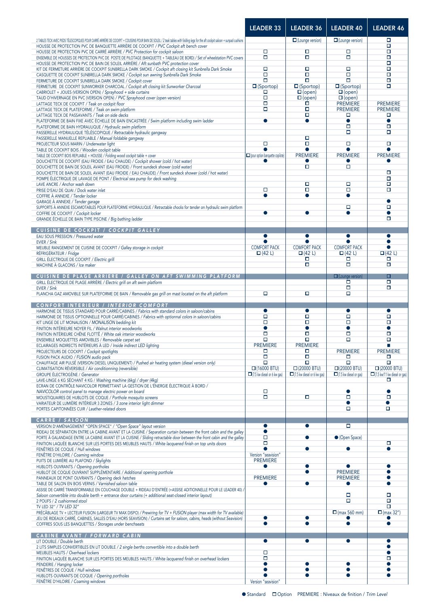|                                                                                                                                                                                                                                                 | <b>LEADER 33</b>                                         | <b>LEADER 36</b>                                         | <b>LEADER 40</b>                                    | <b>LEADER 46</b>                                          |
|-------------------------------------------------------------------------------------------------------------------------------------------------------------------------------------------------------------------------------------------------|----------------------------------------------------------|----------------------------------------------------------|-----------------------------------------------------|-----------------------------------------------------------|
| 2 TABLES TECK AVEC PIEDS TÉLESCOPIQUES POUR CARRÉ ARRIÈRE DE COCKPIT + COUSSINS POUR BAIN DE SOLEIL / 2 teak tables with folding legs for the aft cockpit saloon + sunpad cushions                                                              |                                                          | $\Box$ (Lounge version)                                  | $\Box$ (Lounge version)                             | □                                                         |
| HOUSSE DE PROTECTION PVC DE BANQUETTE ARRIÈRE DE COCKPIT / PVC Cockpit aft bench cover<br>HOUSSE DE PROTECTION PVC DE CARRÉ ARRIÈRE / PVC Protection for cockpit saloon                                                                         | □                                                        | о                                                        | П                                                   | $\Box$<br>□                                               |
| ENSEMBLE DE HOUSSES DE PROTECTION PVC DE POSTE DE PILOTAGE (BANQUETTE + TABLEAU DE BORD) / Set of wheelstation PVC covers                                                                                                                       | $\Box$                                                   | п                                                        | о                                                   | $\Box$<br>$\Box$                                          |
| HOUSSE DE PROTECTION PVC DE BAIN DE SOLEIL ARRIÈRE / Aft sunbath PVC protection cover<br>KIT DE FERMETURE ARRIÈRE DE COCKPIT SUNBRELLA DARK SMOKE / Cockpit aft closing kit Sunbrella Dark Smoke                                                | о                                                        | □                                                        | □                                                   | $\Box$                                                    |
| CASQUETTE DE COCKPIT SUNBRELLA DARK SMOKE / Cockpit sun awning Sunbrella Dark Smoke<br>FERMETURE DE COCKPIT SUNBRELLA DARK SMOKE / Cockpit cover                                                                                                | $\Box$<br>$\Box$                                         | о<br>$\Box$                                              | о<br>O                                              | $\Box$<br>$\Box$                                          |
| FERMETURE DE COCKPIT SUNWORKER CHARCOAL / Cockpit aft closing kit Sunworker Charcoal                                                                                                                                                            | $\square$ (Sportop)                                      | $\square$ (Sportop)                                      | $\square$ (Sportop)                                 | $\Box$                                                    |
| CABRIOLET + JOUES (VERSION OPEN) / Sprayhood + side curtains<br>TAUD D'HIVERNAGE EN PVC (VERSION OPEN) / PVC Sprayhood cover (open version)                                                                                                     | □<br>$\Box$                                              | $\square$ (open)<br>$\square$ (open)                     | $\square$ (open)<br>$\square$ (open)                |                                                           |
| LATTAGE TECK DE COCKPIT / Teak on cockpit floor                                                                                                                                                                                                 | $\Box$                                                   | Ó                                                        | <b>PREMIERE</b>                                     | <b>PREMIERE</b>                                           |
| LATTAGE TECK DE PLATEFORME / Teak on swim platform<br>LATTAGE TECK DE PASSAVANTS / Teak on side decks                                                                                                                                           | $\Box$                                                   | о<br>о                                                   | <b>PREMIERE</b><br>П                                | <b>PREMIERE</b><br>□                                      |
| PLATEFORME DE BAIN FIXE AVEC ÉCHELLE DE BAIN ENCASTRÉE / Swim platform including swim ladder                                                                                                                                                    | $\bullet$                                                | $\bullet$                                                | $\bullet$<br>о                                      | $\bullet$<br>$\Box$                                       |
| PLATEFORME DE BAIN HYDRAULIQUE / Hydraulic swim platform<br>PASSERELLE HYDRAULIQUE TÉLÉSCOPIQUE / Retractable hydraulic gangway                                                                                                                 |                                                          |                                                          | о                                                   | $\Box$                                                    |
| PASSERELLE MANUELLE REPLIABLE / Manual foldable gangway<br>PROJECTEUR SOUS MARIN / Underwater light                                                                                                                                             | $\Box$                                                   | о<br>$\Box$                                              | о                                                   | $\Box$                                                    |
| TABLE DE COCKPIT BOIS / Wooden cockpit table                                                                                                                                                                                                    |                                                          |                                                          |                                                     |                                                           |
| TABLE DE COCKPIT BOIS REPLIABLE + HOUSSE / Folding wood cockpit table + cover<br>DOUCHETTE DE COCKPIT (EAU FROIDE / EAU CHAUDE) / Cockpit shower (cold / hot water)                                                                             | pour option banquette copilote)                          | <b>PREMIERE</b>                                          | <b>PREMIERE</b>                                     | <b>PREMIERE</b>                                           |
| DOUCHETTE DE BAIN DE SOLEIL AVANT (EAU FROIDE) / Front sundeck shower (cold water)                                                                                                                                                              |                                                          | о                                                        | о                                                   | □                                                         |
| DOUCHETTE DE BAIN DE SOLEIL AVANT (EAU FROIDE / EAU CHAUDE) / Front sundeck shower (cold / hot water)<br>POMPE ÉLECTRIQUE DE LAVAGE DE PONT / Electrical sea pump for deck washing                                                              |                                                          |                                                          |                                                     | $\Box$                                                    |
| LAVE ANCRE / Anchor wash down<br>PRISE D'EAU DE QUAI / Dock water inlet                                                                                                                                                                         | П                                                        | п<br>о                                                   | П<br>□                                              | $\Box$<br>п                                               |
| COFFRE À ANNEXE / Tender locker                                                                                                                                                                                                                 | $\bullet$                                                | $\bullet$                                                | $\bullet$                                           |                                                           |
| GARAGE À ANNEXE / Tender garage<br>SUPPORTS À ANNEXE ESCAMOTABLES POUR PLATEFORME HYDRAULIQUE / Retractable chocks for tender on hydraulic swim platform                                                                                        |                                                          |                                                          | о                                                   | $\bullet$<br>о                                            |
| COFFRE DE COCKPIT / Cockpit locker                                                                                                                                                                                                              | $\bullet$                                                | $\bullet$                                                | $\bullet$                                           | $\bullet$                                                 |
| GRANDE ÉCHELLE DE BAIN TYPE PISCINE / Big bathing ladder                                                                                                                                                                                        |                                                          |                                                          |                                                     | □                                                         |
| CUISINE DE COCKPIT / COCKPIT GALLEY<br>EAU SOUS PRESSION / Pressured water                                                                                                                                                                      | $\bullet$                                                | $\bullet$                                                | $\bullet$                                           | $\bullet$                                                 |
| EVIER / Sink                                                                                                                                                                                                                                    |                                                          |                                                          |                                                     | $\bullet$                                                 |
| MEUBLE RANGEMENT DE CUISINE DE COCKPIT / Galley storage in cockpit<br>RÉFRIGÉRATEUR / Fridge                                                                                                                                                    | <b>COMFORT PACK</b><br>$\Box$ (42 L)                     | <b>COMFORT PACK</b><br>$\Box$ (42 L)                     | <b>COMFORT PACK</b><br>$\Box$ (42 L)                | $\bullet$<br>$\Box$ (42 L)                                |
| GRILL ÉLECTRIQUE DE COCKPIT / Electric grill                                                                                                                                                                                                    |                                                          | Π                                                        | Π                                                   | □                                                         |
| MACHINE À GLACONS / Ice maker                                                                                                                                                                                                                   |                                                          | $\Box$                                                   | O                                                   | $\Box$                                                    |
| CUISINE DE PLAGE ARRIERE / GALLEY ON AFT SWIMMING PLATFORM                                                                                                                                                                                      |                                                          |                                                          | $\Box$ (Lounge version)<br>Ò                        | о<br>$\Box$                                               |
| GRILL ÉLECTRIQUE DE PLAGE ARRIÈRE / Electric grill on aft swim platform<br>EVIER / Sink                                                                                                                                                         |                                                          |                                                          | Ω                                                   | $\Box$                                                    |
| PLANCHA GAZ AMOVIBLE SUR PLATEFORME DE BAIN / Removable gas grill on mast located on the aft platform                                                                                                                                           | о                                                        | о                                                        | п                                                   |                                                           |
| <b>CONFORT INTERIEUR / INTERIOR COMFORT</b>                                                                                                                                                                                                     |                                                          |                                                          |                                                     |                                                           |
| HARMONIE DE TISSUS STANDARD POUR CARRÉ/CABINES / Fabrics with standard colors in saloon/cabins<br>HARMONIE DE TISSUS OPTIONNELLE POUR CARRÉ/CABINES / Fabrics with optionnal colors in saloon/cabins                                            | $\bullet$<br>о                                           | $\bullet$<br>□                                           | $\bullet$<br>о                                      | $\bullet$<br>$\Box$                                       |
| KIT LINGE DE LIT MONALISON / MONALISON bedding kit<br>FINITION INTÉRIEURE NOYER FIL / Walnut interior woodworks                                                                                                                                 | о<br>$\bullet$                                           | о<br>$\bullet$                                           | Ω<br>$\bullet$                                      | $\Box$<br>$\bullet$                                       |
| FINITION INTÉRIEURE CHÊNE FLOTTÊ / White oak interior woodworks                                                                                                                                                                                 | $\Box$                                                   | □                                                        | о                                                   | $\Box$                                                    |
| ENSEMBLE MOQUETTES AMOVIBLES / Removable carpet set<br>ECLAIRAGES INDIRECTS INTÉRIEURS À LED / Inside indirect LED lighting                                                                                                                     | о<br><b>PREMIERE</b>                                     | о<br><b>PREMIERE</b>                                     | О                                                   | □<br>ш                                                    |
| PROJECTEURS DE COCKPIT / Cockpit spotlights                                                                                                                                                                                                     | □<br>$\Box$                                              | □<br>$\Box$                                              | <b>PREMIERE</b>                                     | <b>PREMIERE</b>                                           |
| FUSION PACK AUDIO / FUSION audio pack<br>CHAUFFAGE AIR PULSÉ (VERSION DIESEL UNIQUEMENT) / Pushed air heating system (diesel version only)                                                                                                      | $\Box$                                                   | $\Box$                                                   | □<br>$\Box$                                         | □<br>$\Box$                                               |
| CLIMATISATION RÉVERSIBLE / Air conditionning (reversible)<br>GROUPE ÉLECTROGÈNE / Generator                                                                                                                                                     | $\Box$ (16000 BTU)<br>$\Box$ (7.5 kw diesel or 6 kw gas) | $\Box$ (20000 BTU)<br>$\Box$ (7.5 kw diesel or 6 kw gas) | $\Box$ (20000 BTU)<br>$\Box$ (7.5 kw diesel or gas) | $\Box$ (20000 BTU)<br>$\Box$ (7.5 kw/11 kw diesel or gas) |
| LAVE-LINGE 6 KG SÉCHANT 4 KG / Washing machine (6kg) / dryer (4kg)                                                                                                                                                                              |                                                          |                                                          |                                                     | □                                                         |
| ECRAN DE CONTRÔLE NAVICOLOR PERMETTANT LA GESTION DE L'ÉNERGIE ÉLECTRIQUE À BORD /<br>NAVICOLOR control panel to manage electric power on board                                                                                                 | о                                                        |                                                          | ●                                                   |                                                           |
| MOUSTIQUAIRES DE HUBLOTS DE COQUE / Porthole mosquito screens                                                                                                                                                                                   | $\Box$                                                   | $\Box$                                                   | о                                                   | $\Box$                                                    |
| VARIATEUR DE LUMIÈRE INTÉRIEUR 3 ZONES / 3 zone interior light dimmer<br>PORTES CAPITONNÉES CUIR / Leather-related doors                                                                                                                        |                                                          |                                                          | $\bullet$<br>о                                      | $\bullet$<br>о                                            |
| <b>CARRE / SALOON</b>                                                                                                                                                                                                                           |                                                          |                                                          |                                                     |                                                           |
| VERSION D'AMÉNAGEMENT "OPEN SPACE" / "Open Space" layout version                                                                                                                                                                                | $\bullet$                                                | $\bullet$                                                | о                                                   |                                                           |
| RIDEAU DE SÉPARATION ENTRE LA CABINE AVANT ET LA CUISINE / Separation curtain between the front cabin and the galley<br>PORTE À GALANDAGE ENTRE LA CABINE AVANT ET LA CUISINE / Sliding retractable door between the front cabin and the galley | $\bullet$<br>о                                           | $\bullet$                                                | • (Open Space)                                      |                                                           |
| FINITION LAQUÉE BLANCHE SUR LES PORTES DES MEUBLES HAUTS / White lacquered finish on top units doors                                                                                                                                            | о<br>$\bullet$                                           |                                                          |                                                     | п<br>$\bullet$                                            |
| FENÊTRES DE COQUE / Hull windows<br>FENÊTRE D'HILOIRE / Coaming window                                                                                                                                                                          | Version "seavision"                                      | 0                                                        | $\bullet$                                           |                                                           |
| PUITS DE LUMIÈRE AU PLAFOND / Skylights<br>HUBLOTS OUVRANTS / Opening portholes                                                                                                                                                                 | <b>PREMIERE</b><br>0                                     | $\bullet$                                                |                                                     | $\bullet$                                                 |
| HUBLOT DE COQUE OUVRANT SUPPLÉMENTAIRE / Additional opening porthole                                                                                                                                                                            |                                                          | ●                                                        | <b>PREMIERE</b>                                     | $\bullet$                                                 |
| PANNEAUX DE PONT OUVRANTS / Opening deck hatches<br>TABLE DE SALON EN BOIS VERNIS / Varnished saloon table                                                                                                                                      | <b>PREMIERE</b>                                          |                                                          | <b>PREMIERE</b><br>$\bullet$                        | $\bullet$<br>$\bullet$                                    |
| ASSISE DE CARRÉ TRANSFORMABLE EN COUCHAGE DOUBLE + RIDEAU D'ENTRÉE (+ASSISE ADITIONNELLE POUR LE LEADER 40) /                                                                                                                                   |                                                          |                                                          |                                                     |                                                           |
| Saloon convertible into double berth + entrance door curtains (+ additional seat-closed interior layout)<br>2 POUFS / 2 cushionned stool                                                                                                        |                                                          |                                                          | п<br>о                                              | п<br>$\Box$                                               |
| TV LED 32" / TV LED 32"<br>PRÉCÂBLAGE TV + LECTEUR FUSION (LARGEUR TV MAX DISPO) / Prewiring for TV + FUSION player (max width for TV available)                                                                                                |                                                          |                                                          | $\Box$ (max 560 mm)                                 | $\Box$<br>$\Box$ (max 32")                                |
| JEU DE RIDEAUX CARRÉ, CABINES, SALLES D'EAU (HORS SEAVISION) / Curtains set for saloon, cabins, heads (without Seavision)                                                                                                                       | $\bullet$                                                |                                                          |                                                     |                                                           |
| COFFRES SOUS LES BANQUETTES / Storages under benchseats                                                                                                                                                                                         | $\bullet$                                                | ●                                                        | $\bullet$                                           | $\bullet$                                                 |
| <b>CABINE AVANT / FORWARD CABIN</b>                                                                                                                                                                                                             |                                                          | $\bullet$                                                |                                                     |                                                           |
| LIT DOUBLE / Double berth<br>2 LITS SIMPLES CONVERTIBLES EN LIT DOUBLE / 2 single berths convertible into a double berth                                                                                                                        | $\bullet$                                                |                                                          | $\bullet$                                           | $\bullet$                                                 |
| MEUBLES HAUTS / Overhead lockers<br>FINITION LAQUÉE BLANCHE SUR LES PORTES DES MEUBLES HAUTS / White lacquered finish on overhead lockers                                                                                                       | о<br>о                                                   |                                                          |                                                     | о                                                         |
| PENDERIE / Hanging locker                                                                                                                                                                                                                       | ●                                                        |                                                          |                                                     | ●                                                         |
|                                                                                                                                                                                                                                                 |                                                          |                                                          |                                                     |                                                           |
| FENÊTRES DE COQUE / Hull windows<br>HUBLOTS OUVRANTS DE COQUE / Opening portholes                                                                                                                                                               | $\bullet$                                                | ●                                                        | $\bullet$<br>$\bullet$                              | $\bullet$                                                 |